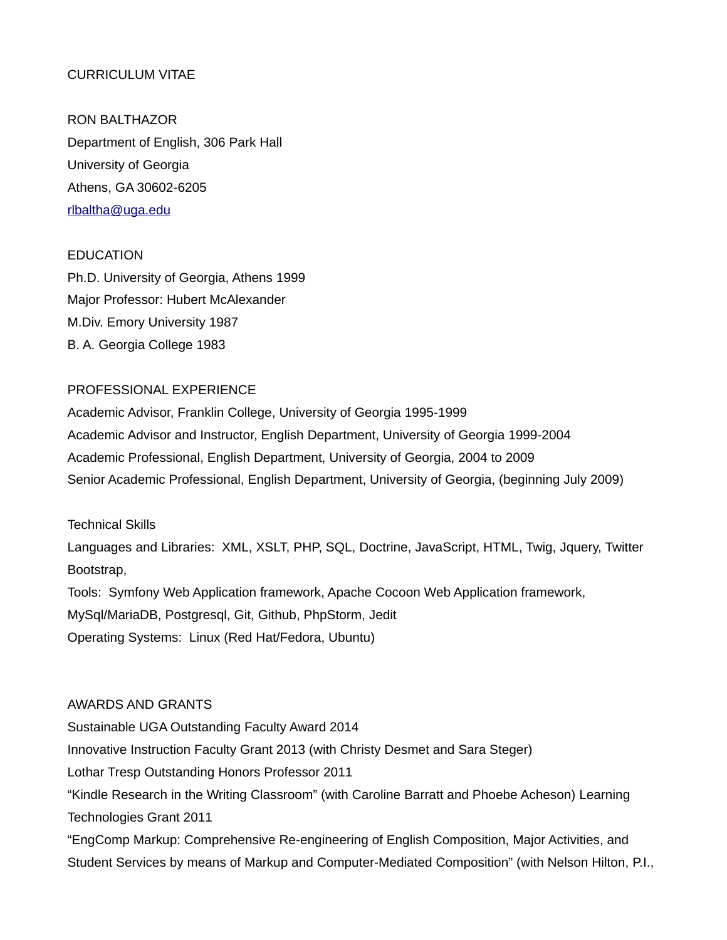# CURRICULUM VITAE

RON BALTHAZOR Department of English, 306 Park Hall University of Georgia Athens, GA 30602-6205 [rlbaltha@uga.edu](mailto:rlbaltha@uga.edu)

## **EDUCATION**

Ph.D. University of Georgia, Athens 1999 Major Professor: Hubert McAlexander M.Div. Emory University 1987 B. A. Georgia College 1983

### PROFESSIONAL EXPERIENCE

Academic Advisor, Franklin College, University of Georgia 1995-1999 Academic Advisor and Instructor, English Department, University of Georgia 1999-2004 Academic Professional, English Department, University of Georgia, 2004 to 2009 Senior Academic Professional, English Department, University of Georgia, (beginning July 2009)

## Technical Skills

Languages and Libraries: XML, XSLT, PHP, SQL, Doctrine, JavaScript, HTML, Twig, Jquery, Twitter Bootstrap, Tools: Symfony Web Application framework, Apache Cocoon Web Application framework, MySql/MariaDB, Postgresql, Git, Github, PhpStorm, Jedit Operating Systems: Linux (Red Hat/Fedora, Ubuntu)

## AWARDS AND GRANTS

Sustainable UGA Outstanding Faculty Award 2014 Innovative Instruction Faculty Grant 2013 (with Christy Desmet and Sara Steger) Lothar Tresp Outstanding Honors Professor 2011 "Kindle Research in the Writing Classroom" (with Caroline Barratt and Phoebe Acheson) Learning Technologies Grant 2011 "EngComp Markup: Comprehensive Re-engineering of English Composition, Major Activities, and Student Services by means of Markup and Computer-Mediated Composition" (with Nelson Hilton, P.I.,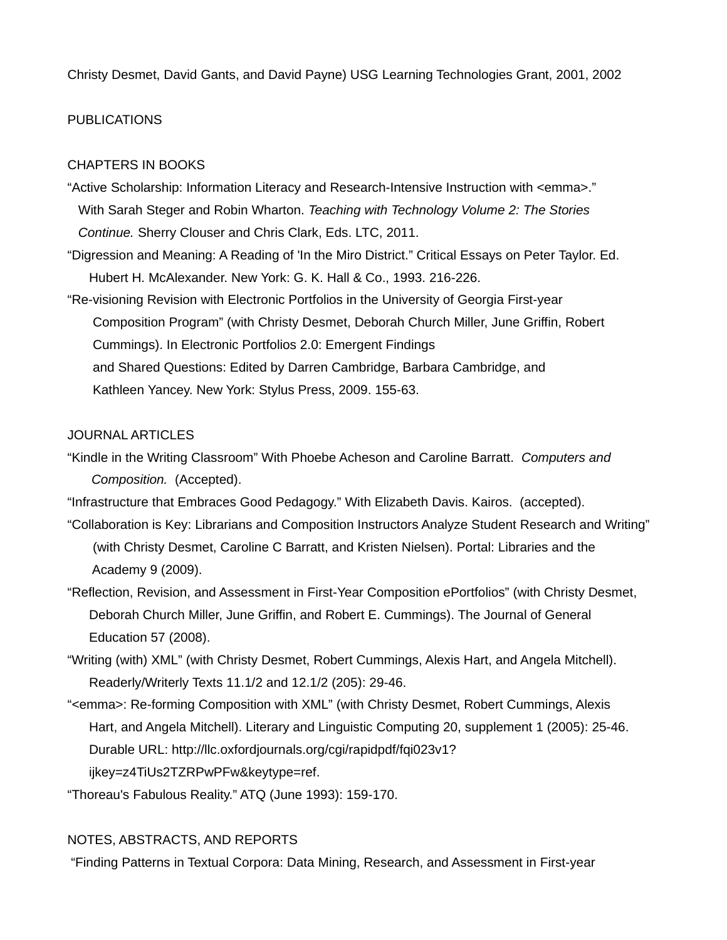Christy Desmet, David Gants, and David Payne) USG Learning Technologies Grant, 2001, 2002

### PUBLICATIONS

### CHAPTERS IN BOOKS

- "Active Scholarship: Information Literacy and Research-Intensive Instruction with <emma>." With Sarah Steger and Robin Wharton. *Teaching with Technology Volume 2: The Stories Continue.* Sherry Clouser and Chris Clark, Eds. LTC, 2011.
- "Digression and Meaning: A Reading of 'In the Miro District." Critical Essays on Peter Taylor. Ed. Hubert H. McAlexander. New York: G. K. Hall & Co., 1993. 216-226.
- "Re-visioning Revision with Electronic Portfolios in the University of Georgia First-year Composition Program" (with Christy Desmet, Deborah Church Miller, June Griffin, Robert Cummings). In Electronic Portfolios 2.0: Emergent Findings and Shared Questions: Edited by Darren Cambridge, Barbara Cambridge, and Kathleen Yancey. New York: Stylus Press, 2009. 155-63.

### JOURNAL ARTICLES

- "Kindle in the Writing Classroom" With Phoebe Acheson and Caroline Barratt. *Computers and Composition.* (Accepted).
- "Infrastructure that Embraces Good Pedagogy." With Elizabeth Davis. Kairos. (accepted).
- "Collaboration is Key: Librarians and Composition Instructors Analyze Student Research and Writing" (with Christy Desmet, Caroline C Barratt, and Kristen Nielsen). Portal: Libraries and the Academy 9 (2009).
- "Reflection, Revision, and Assessment in First-Year Composition ePortfolios" (with Christy Desmet, Deborah Church Miller, June Griffin, and Robert E. Cummings). The Journal of General Education 57 (2008).
- "Writing (with) XML" (with Christy Desmet, Robert Cummings, Alexis Hart, and Angela Mitchell). Readerly/Writerly Texts 11.1/2 and 12.1/2 (205): 29-46.
- "<emma>: Re-forming Composition with XML" (with Christy Desmet, Robert Cummings, Alexis Hart, and Angela Mitchell). Literary and Linguistic Computing 20, supplement 1 (2005): 25-46. Durable URL: http://llc.oxfordjournals.org/cgi/rapidpdf/fqi023v1? ijkey=z4TiUs2TZRPwPFw&keytype=ref.
- "Thoreau's Fabulous Reality." ATQ (June 1993): 159-170.

#### NOTES, ABSTRACTS, AND REPORTS

"Finding Patterns in Textual Corpora: Data Mining, Research, and Assessment in First-year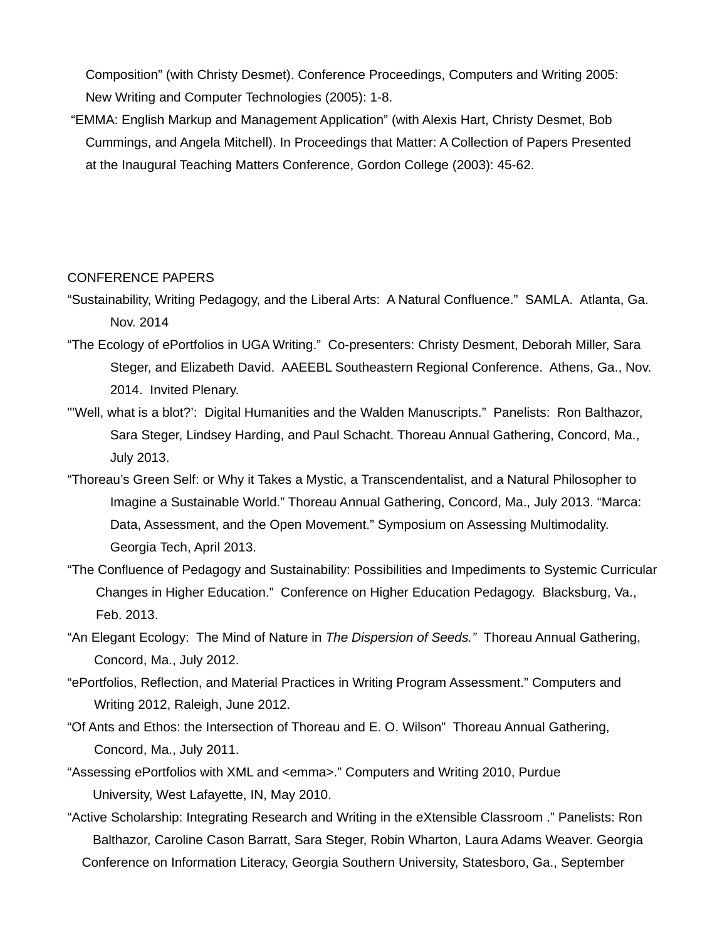Composition" (with Christy Desmet). Conference Proceedings, Computers and Writing 2005: New Writing and Computer Technologies (2005): 1-8.

 "EMMA: English Markup and Management Application" (with Alexis Hart, Christy Desmet, Bob Cummings, and Angela Mitchell). In Proceedings that Matter: A Collection of Papers Presented at the Inaugural Teaching Matters Conference, Gordon College (2003): 45-62.

### CONFERENCE PAPERS

- "Sustainability, Writing Pedagogy, and the Liberal Arts: A Natural Confluence." SAMLA. Atlanta, Ga. Nov. 2014
- "The Ecology of ePortfolios in UGA Writing." Co-presenters: Christy Desment, Deborah Miller, Sara Steger, and Elizabeth David. AAEEBL Southeastern Regional Conference. Athens, Ga., Nov. 2014. Invited Plenary.
- "'Well, what is a blot?': Digital Humanities and the Walden Manuscripts." Panelists: Ron Balthazor, Sara Steger, Lindsey Harding, and Paul Schacht. Thoreau Annual Gathering, Concord, Ma., July 2013.
- "Thoreau's Green Self: or Why it Takes a Mystic, a Transcendentalist, and a Natural Philosopher to Imagine a Sustainable World." Thoreau Annual Gathering, Concord, Ma., July 2013. "Marca: Data, Assessment, and the Open Movement." Symposium on Assessing Multimodality. Georgia Tech, April 2013.
- "The Confluence of Pedagogy and Sustainability: Possibilities and Impediments to Systemic Curricular Changes in Higher Education." Conference on Higher Education Pedagogy. Blacksburg, Va., Feb. 2013.
- "An Elegant Ecology: The Mind of Nature in *The Dispersion of Seeds."* Thoreau Annual Gathering, Concord, Ma., July 2012.
- "ePortfolios, Reflection, and Material Practices in Writing Program Assessment." Computers and Writing 2012, Raleigh, June 2012.
- "Of Ants and Ethos: the Intersection of Thoreau and E. O. Wilson" Thoreau Annual Gathering, Concord, Ma., July 2011.
- "Assessing ePortfolios with XML and <emma>." Computers and Writing 2010, Purdue University, West Lafayette, IN, May 2010.
- "Active Scholarship: Integrating Research and Writing in the eXtensible Classroom ." Panelists: Ron Balthazor, Caroline Cason Barratt, Sara Steger, Robin Wharton, Laura Adams Weaver. Georgia Conference on Information Literacy, Georgia Southern University, Statesboro, Ga., September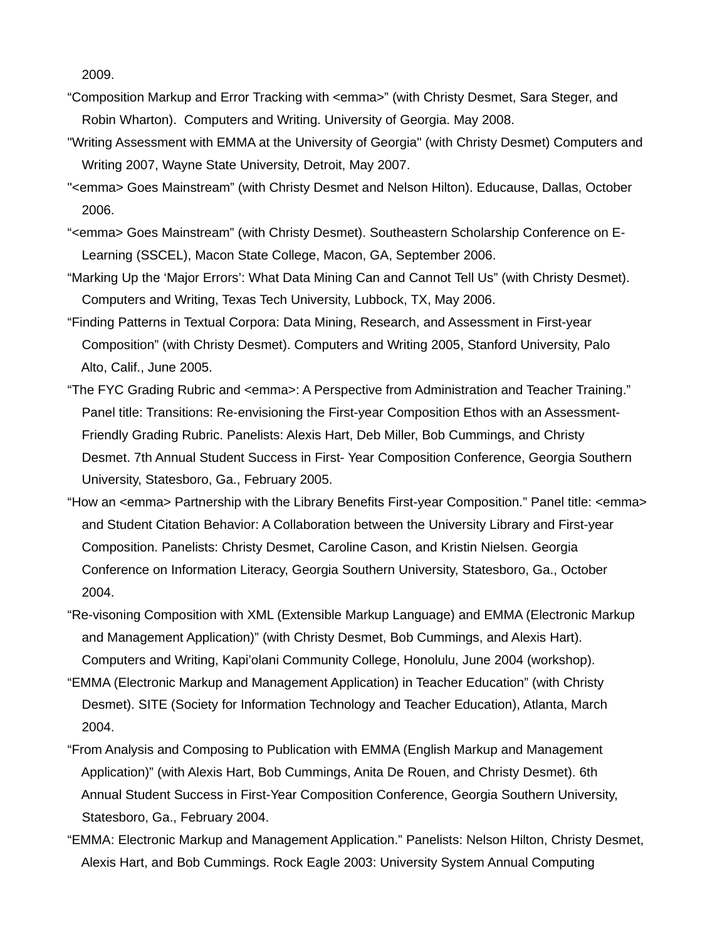2009.

- "Composition Markup and Error Tracking with <emma>" (with Christy Desmet, Sara Steger, and Robin Wharton). Computers and Writing. University of Georgia. May 2008.
- "Writing Assessment with EMMA at the University of Georgia" (with Christy Desmet) Computers and Writing 2007, Wayne State University, Detroit, May 2007.
- "<emma> Goes Mainstream" (with Christy Desmet and Nelson Hilton). Educause, Dallas, October 2006.
- "<emma> Goes Mainstream" (with Christy Desmet). Southeastern Scholarship Conference on E- Learning (SSCEL), Macon State College, Macon, GA, September 2006.
- "Marking Up the 'Major Errors': What Data Mining Can and Cannot Tell Us" (with Christy Desmet). Computers and Writing, Texas Tech University, Lubbock, TX, May 2006.
- "Finding Patterns in Textual Corpora: Data Mining, Research, and Assessment in First-year Composition" (with Christy Desmet). Computers and Writing 2005, Stanford University, Palo Alto, Calif., June 2005.
- "The FYC Grading Rubric and <emma>: A Perspective from Administration and Teacher Training." Panel title: Transitions: Re-envisioning the First-year Composition Ethos with an Assessment- Friendly Grading Rubric. Panelists: Alexis Hart, Deb Miller, Bob Cummings, and Christy Desmet. 7th Annual Student Success in First- Year Composition Conference, Georgia Southern University, Statesboro, Ga., February 2005.
- "How an <emma> Partnership with the Library Benefits First-year Composition." Panel title: <emma> and Student Citation Behavior: A Collaboration between the University Library and First-year Composition. Panelists: Christy Desmet, Caroline Cason, and Kristin Nielsen. Georgia Conference on Information Literacy, Georgia Southern University, Statesboro, Ga., October 2004.
- "Re-visoning Composition with XML (Extensible Markup Language) and EMMA (Electronic Markup and Management Application)" (with Christy Desmet, Bob Cummings, and Alexis Hart). Computers and Writing, Kapi'olani Community College, Honolulu, June 2004 (workshop).
- "EMMA (Electronic Markup and Management Application) in Teacher Education" (with Christy Desmet). SITE (Society for Information Technology and Teacher Education), Atlanta, March 2004.
- "From Analysis and Composing to Publication with EMMA (English Markup and Management Application)" (with Alexis Hart, Bob Cummings, Anita De Rouen, and Christy Desmet). 6th Annual Student Success in First-Year Composition Conference, Georgia Southern University, Statesboro, Ga., February 2004.
- "EMMA: Electronic Markup and Management Application." Panelists: Nelson Hilton, Christy Desmet, Alexis Hart, and Bob Cummings. Rock Eagle 2003: University System Annual Computing